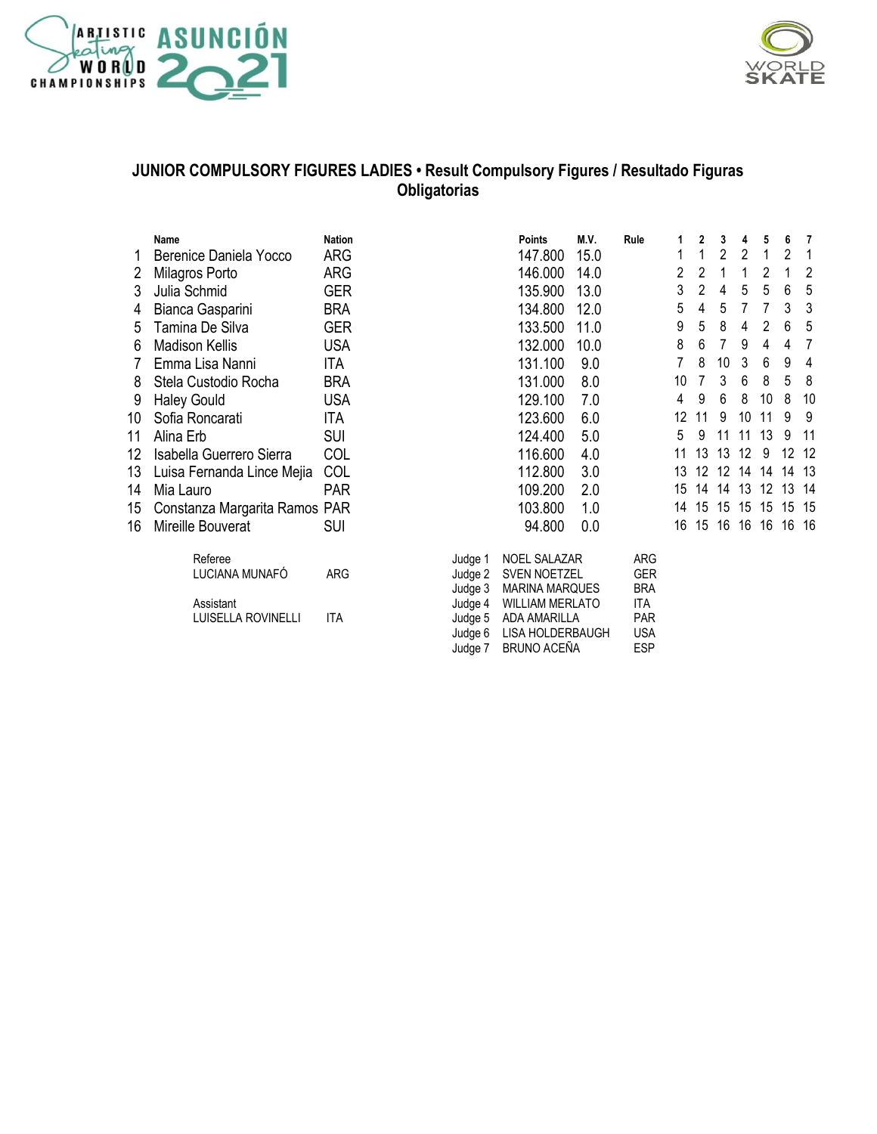



#### **JUNIOR COMPULSORY FIGURES LADIES • Result Compulsory Figures / Resultado Figuras Obligatorias**

Judge 7 BRUNO ACEÑA

|    | Name                          | <b>Nation</b> |                    | <b>Points</b>                            | M.V. | Rule              |
|----|-------------------------------|---------------|--------------------|------------------------------------------|------|-------------------|
| 1  | Berenice Daniela Yocco        | ARG           |                    | 147.800                                  | 15.0 |                   |
| 2  | Milagros Porto                | ARG           |                    | 146.000                                  | 14.0 |                   |
| 3  | Julia Schmid                  | <b>GER</b>    |                    | 135.900                                  | 13.0 |                   |
| 4  | Bianca Gasparini              | <b>BRA</b>    |                    | 134.800                                  | 12.0 |                   |
| 5  | Tamina De Silva               | <b>GER</b>    |                    | 133.500                                  | 11.0 |                   |
| 6  | Madison Kellis                | <b>USA</b>    |                    | 132.000                                  | 10.0 |                   |
| 7  | Emma Lisa Nanni               | ITA           |                    | 131.100                                  | 9.0  |                   |
| 8  | Stela Custodio Rocha          | <b>BRA</b>    |                    | 131.000                                  | 8.0  |                   |
| 9  | <b>Haley Gould</b>            | <b>USA</b>    |                    | 129.100                                  | 7.0  |                   |
| 10 | Sofia Roncarati               | ITA           |                    | 123.600                                  | 6.0  |                   |
| 11 | Alina Erb                     | SUI           |                    | 124.400                                  | 5.0  |                   |
| 12 | Isabella Guerrero Sierra      | COL           |                    | 116.600                                  | 4.0  |                   |
| 13 | Luisa Fernanda Lince Mejia    | COL           |                    | 112.800                                  | 3.0  |                   |
| 14 | Mia Lauro                     | <b>PAR</b>    |                    | 109.200                                  | 2.0  |                   |
| 15 | Constanza Margarita Ramos PAR |               |                    | 103.800                                  | 1.0  |                   |
| 16 | Mireille Bouverat             | SUI           |                    | 94.800                                   | 0.0  |                   |
|    | Referee                       |               | Judge 1            | NOEL SALAZAR                             |      | ARG               |
|    | LUCIANA MUNAFÓ                | <b>ARG</b>    | Judge 2            | SVEN NOETZEL                             |      | GER               |
|    | Assistant                     |               | Judge 3<br>Judge 4 | <b>MARINA MARQUES</b><br>WILLIAM MERLATO |      | <b>BRA</b><br>ITA |

|    | Name                          | <b>Nation</b> |         | <b>Points</b>          | M.V. | Rule       | 1              | 2  | 3  | 4              | 5  | 6     | 7  |
|----|-------------------------------|---------------|---------|------------------------|------|------------|----------------|----|----|----------------|----|-------|----|
|    | Berenice Daniela Yocco        | ARG           |         | 147.800                | 15.0 |            | 1              |    | 2  | $\overline{2}$ |    | 2     | 1  |
| 2  | Milagros Porto                | ARG           |         | 146.000                | 14.0 |            | $\overline{c}$ | 2  |    | 1              | 2  |       | 2  |
| 3  | Julia Schmid                  | <b>GER</b>    |         | 135.900                | 13.0 |            | 3              | 2  | 4  | 5              | 5  | 6     | 5  |
| 4  | Bianca Gasparini              | <b>BRA</b>    |         | 134.800                | 12.0 |            | 5              | 4  | 5  | 7              |    | 3     | 3  |
| 5  | Tamina De Silva               | <b>GER</b>    |         | 133.500                | 11.0 |            | 9              | 5  | 8  | 4              | 2  | 6     | 5  |
| 6  | <b>Madison Kellis</b>         | <b>USA</b>    |         | 132.000                | 10.0 |            | 8              | 6  |    | 9              | 4  | 4     | 7  |
|    | Emma Lisa Nanni               | ITA           |         | 131.100                | 9.0  |            | 7              | 8  | 10 | 3              | 6  | 9     | 4  |
| 8  | Stela Custodio Rocha          | <b>BRA</b>    |         | 131.000                | 8.0  |            | 10             |    | 3  | 6              | 8  | 5     | 8  |
| 9  | <b>Haley Gould</b>            | <b>USA</b>    |         | 129.100                | 7.0  |            | 4              | 9  | 6  | 8              | 10 | 8     | 10 |
| 10 | Sofia Roncarati               | ITA           |         | 123.600                | 6.0  |            | 12             | 11 | 9  | 10             | 11 | 9     | 9  |
| 11 | Alina Erb                     | <b>SUI</b>    |         | 124.400                | 5.0  |            | 5              | 9  | 11 | 11             | 13 | 9     | 11 |
| 12 | Isabella Guerrero Sierra      | COL           |         | 116.600                | 4.0  |            | 11             | 13 | 13 | 12             | 9  | 12    | 12 |
| 13 | Luisa Fernanda Lince Mejia    | COL           |         | 112.800                | 3.0  |            | 13             | 12 | 12 | 14             | 14 | 14    | 13 |
| 14 | Mia Lauro                     | <b>PAR</b>    |         | 109.200                | 2.0  |            | 15             | 14 | 14 | 13             | 12 | 13    | 14 |
|    |                               |               |         | 103.800                | 1.0  |            | 14             | 15 | 15 | 15             | 15 | 15    | 15 |
| 15 | Constanza Margarita Ramos PAR |               |         |                        |      |            |                |    |    | 16             |    | 16 16 |    |
| 16 | Mireille Bouverat             | <b>SUI</b>    |         | 94.800                 | 0.0  |            | 16             | 15 | 16 |                | 16 |       |    |
|    | Referee                       |               | Judge 1 | <b>NOEL SALAZAR</b>    |      | ARG        |                |    |    |                |    |       |    |
|    | LUCIANA MUNAFÓ                | ARG           | Judge 2 | SVEN NOETZEL           |      | <b>GER</b> |                |    |    |                |    |       |    |
|    |                               |               | Judge 3 | <b>MARINA MARQUES</b>  |      | <b>BRA</b> |                |    |    |                |    |       |    |
|    | Assistant                     |               | Judge 4 | <b>WILLIAM MERLATO</b> |      | ITA        |                |    |    |                |    |       |    |
|    | LUISELLA ROVINELLI            | ITA           | Judge 5 | ADA AMARILLA           |      | <b>PAR</b> |                |    |    |                |    |       |    |
|    |                               |               | Judge 6 | LISA HOLDERBAUGH       |      | <b>USA</b> |                |    |    |                |    |       |    |
|    |                               |               | Judge 7 | <b>BRUNO ACEÑA</b>     |      | <b>ESP</b> |                |    |    |                |    |       |    |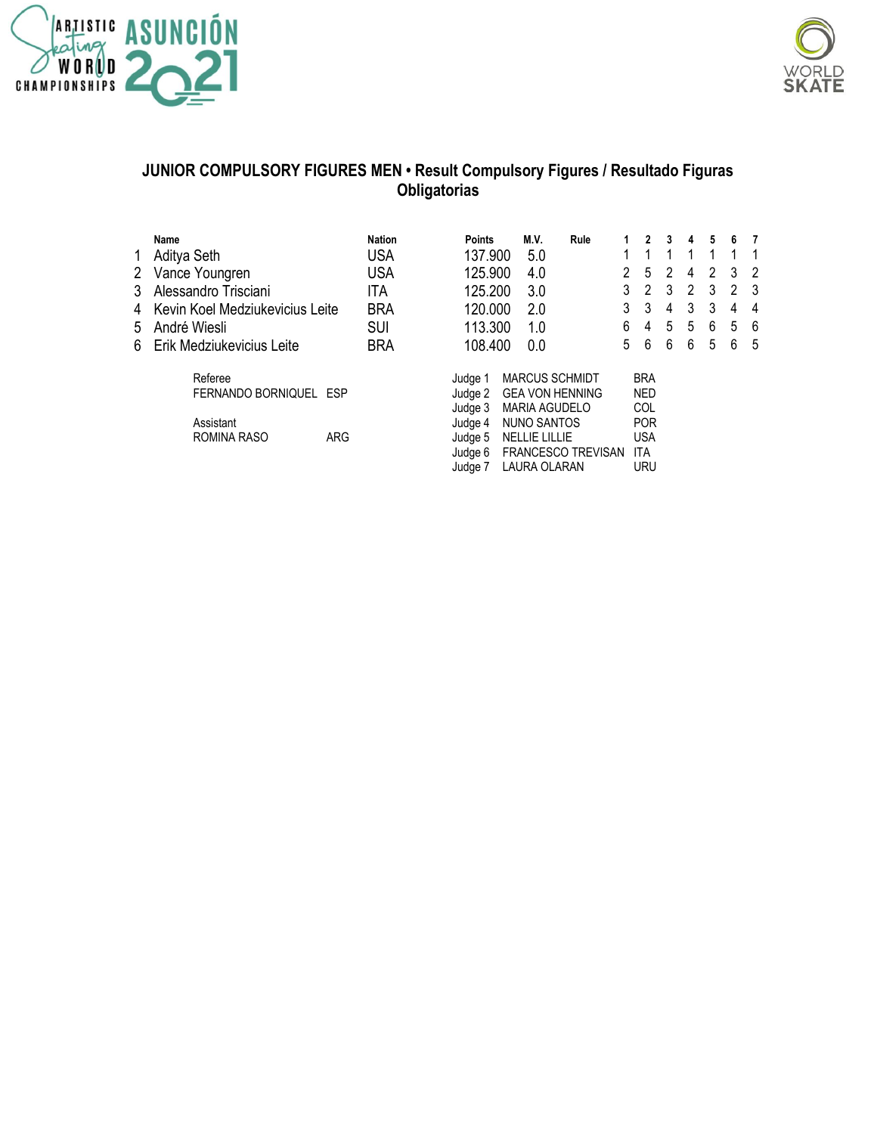



## **JUNIOR COMPULSORY FIGURES MEN • Result Compulsory Figures / Resultado Figuras Obligatorias**

|             | Name                            | <b>Nation</b> | <b>Points</b> | M.V.                   | Rule                      | 2          | 3 | 4 | 5 | 6 | - 7            |
|-------------|---------------------------------|---------------|---------------|------------------------|---------------------------|------------|---|---|---|---|----------------|
| 1           | Aditya Seth                     | <b>USA</b>    | 137.900       | 5.0                    |                           |            |   |   |   | 1 |                |
| $2^{\circ}$ | Vance Youngren                  | <b>USA</b>    | 125.900       | 4.0                    |                           | 2<br>5     | 2 | 4 | 2 | 3 | $\overline{2}$ |
| 3           | Alessandro Trisciani            | ITA           | 125.200       | 3.0                    |                           | 2<br>3     | 3 | 2 | 3 | 2 | - 3            |
| 4           | Kevin Koel Medziukevicius Leite | <b>BRA</b>    | 120,000       | 2.0                    |                           | 3<br>3     | 4 | 3 | 3 | 4 | -4             |
| 5           | André Wiesli                    | <b>SUI</b>    | 113.300       | 1.0                    |                           | 6<br>4     | 5 | 5 | 6 | 5 | - 6            |
| 6           | Erik Medziukevicius Leite       | <b>BRA</b>    | 108.400       | 0.0                    |                           | 6<br>5     | 6 | 6 | 5 | 6 | - 5            |
|             | Referee                         |               | Judge 1       | <b>MARCUS SCHMIDT</b>  |                           | <b>BRA</b> |   |   |   |   |                |
|             | FERNANDO BORNIQUEL ESP          |               | Judge 2       | <b>GEA VON HENNING</b> |                           | <b>NED</b> |   |   |   |   |                |
|             |                                 |               | Judge 3       | <b>MARIA AGUDELO</b>   |                           | COL        |   |   |   |   |                |
|             | Assistant                       |               | Judge 4       | NUNO SANTOS            |                           | <b>POR</b> |   |   |   |   |                |
|             | ROMINA RASO                     | <b>ARG</b>    | Judge 5       | <b>NELLIE LILLIE</b>   |                           | <b>USA</b> |   |   |   |   |                |
|             |                                 |               | Judge 6       |                        | <b>FRANCESCO TREVISAN</b> | ITA        |   |   |   |   |                |
|             |                                 |               | Judge 7       | LAURA OLARAN           |                           | <b>URU</b> |   |   |   |   |                |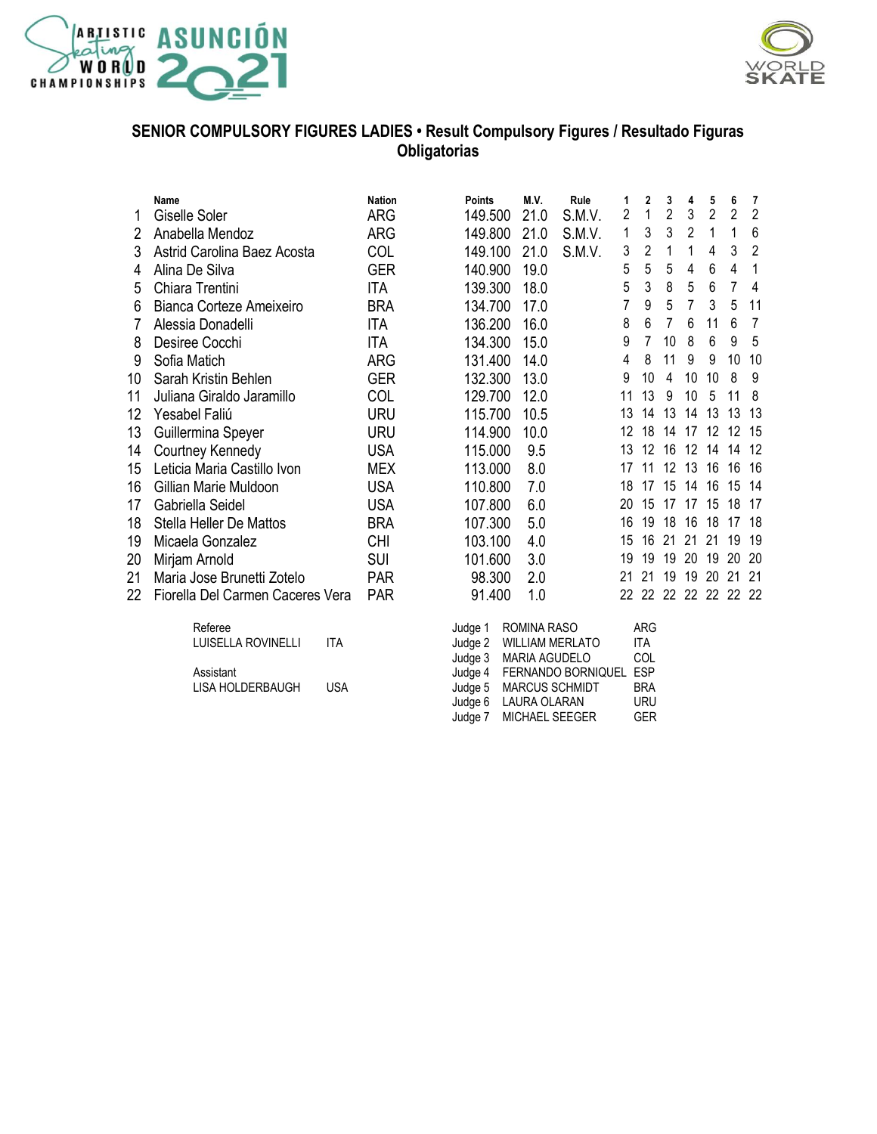



### **SENIOR COMPULSORY FIGURES LADIES • Result Compulsory Figures / Resultado Figuras Obligatorias**

|    | Name                             |            | <b>Nation</b> | <b>Points</b>      | M.V.                 | Rule                   | 1              | $\mathbf{2}$      | 3  | 4              | 5              | 6              | 7              |
|----|----------------------------------|------------|---------------|--------------------|----------------------|------------------------|----------------|-------------------|----|----------------|----------------|----------------|----------------|
| 1  | <b>Giselle Soler</b>             |            | <b>ARG</b>    | 149.500            | 21.0                 | S.M.V.                 | $\overline{2}$ | 1                 | 2  | 3              | $\overline{2}$ | $\overline{2}$ | $\overline{2}$ |
| 2  | Anabella Mendoz                  |            | <b>ARG</b>    | 149.800            | 21.0                 | S.M.V.                 | 1              | 3                 | 3  | 2              | 1              | 1              | 6              |
| 3  | Astrid Carolina Baez Acosta      |            | COL           | 149.100            | 21.0                 | S.M.V.                 | 3              | 2                 | 1  | 1              | 4              | 3              | 2              |
| 4  | Alina De Silva                   |            | <b>GER</b>    | 140.900            | 19.0                 |                        | 5              | 5                 | 5  | 4              | 6              | 4              | 1              |
| 5  | Chiara Trentini                  |            | <b>ITA</b>    | 139.300            | 18.0                 |                        | 5              | 3                 | 8  | 5              | 6              | 7              | 4              |
| 6  | Bianca Corteze Ameixeiro         |            | <b>BRA</b>    | 134.700            | 17.0                 |                        | 7              | 9                 | 5  | $\overline{7}$ | 3              | 5              | 11             |
| 7  | Alessia Donadelli                |            | <b>ITA</b>    | 136.200            | 16.0                 |                        | 8              | 6                 | 7  | 6              | 11             | 6              | $\overline{7}$ |
| 8  | Desiree Cocchi                   |            | <b>ITA</b>    | 134.300            | 15.0                 |                        | 9              | 7                 | 10 | 8              | 6              | 9              | 5              |
| 9  | Sofia Matich                     |            | ARG           | 131.400            | 14.0                 |                        | 4              | 8                 | 11 | 9              | 9              | 10             | 10             |
| 10 | Sarah Kristin Behlen             |            | <b>GER</b>    | 132.300            | 13.0                 |                        | 9              | 10                | 4  | 10             | 10             | 8              | 9              |
| 11 | Juliana Giraldo Jaramillo        |            | COL           | 129.700            | 12.0                 |                        | 11             | 13                | 9  | 10             | 5              | 11             | 8              |
| 12 | Yesabel Faliú                    |            | <b>URU</b>    | 115.700            | 10.5                 |                        | 13             | 14                | 13 | 14             | 13             | 13             | 13             |
| 13 | Guillermina Speyer               |            | <b>URU</b>    | 114.900            | 10.0                 |                        | 12             | 18                | 14 | 17             | 12             | 12             | 15             |
| 14 | Courtney Kennedy                 |            | <b>USA</b>    | 115.000            | 9.5                  |                        | 13             | 12                | 16 | 12             | 14             | 14             | 12             |
| 15 | Leticia Maria Castillo Ivon      |            | <b>MEX</b>    | 113,000            | 8.0                  |                        | 17             | 11                | 12 | 13             | 16             | 16             | 16             |
| 16 | Gillian Marie Muldoon            |            | <b>USA</b>    | 110.800            | 7.0                  |                        | 18             | 17                | 15 | 14             | 16             | 15             | 14             |
| 17 | Gabriella Seidel                 |            | <b>USA</b>    | 107.800            | 6.0                  |                        | 20             | 15                | 17 | 17             | 15             | 18             | 17             |
| 18 | <b>Stella Heller De Mattos</b>   |            | <b>BRA</b>    | 107.300            | 5.0                  |                        | 16             | 19                | 18 | 16             | 18             | 17             | 18             |
| 19 | Micaela Gonzalez                 |            | <b>CHI</b>    | 103.100            | 4.0                  |                        | 15             | 16                | 21 | 21             | 21             | 19             | 19             |
| 20 | Mirjam Arnold                    |            | <b>SUI</b>    | 101.600            | 3.0                  |                        | 19             | 19                | 19 | 20             | 19             | 20             | 20             |
| 21 | Maria Jose Brunetti Zotelo       |            | <b>PAR</b>    | 98.300             | 2.0                  |                        | 21             | 21                | 19 | 19             | 20             | 21             | 21             |
| 22 | Fiorella Del Carmen Caceres Vera |            | <b>PAR</b>    | 91.400             | 1.0                  |                        | 22             | 22                |    | 22 22 22 22    |                |                | -22            |
|    | Referee                          |            |               | Judge 1            | ROMINA RASO          |                        |                | <b>ARG</b>        |    |                |                |                |                |
|    | LUISELLA ROVINELLI               | <b>ITA</b> |               | Judge 2<br>Judge 3 | <b>MARIA AGUDELO</b> | <b>WILLIAM MERLATO</b> |                | <b>ITA</b><br>COL |    |                |                |                |                |
|    | Assistant                        |            |               | Judge 4            |                      | FERNANDO BORNIQUEL     |                | <b>ESP</b>        |    |                |                |                |                |
|    | LISA HOLDERBAUGH                 | <b>USA</b> |               | Judge 5            |                      | MARCUS SCHMIDT         |                | <b>BRA</b>        |    |                |                |                |                |
|    |                                  |            |               | Judge 6            | LAURA OLARAN         |                        |                | <b>URU</b>        |    |                |                |                |                |
|    |                                  |            |               | Judge 7            |                      | MICHAEL SEEGER         |                | <b>GER</b>        |    |                |                |                |                |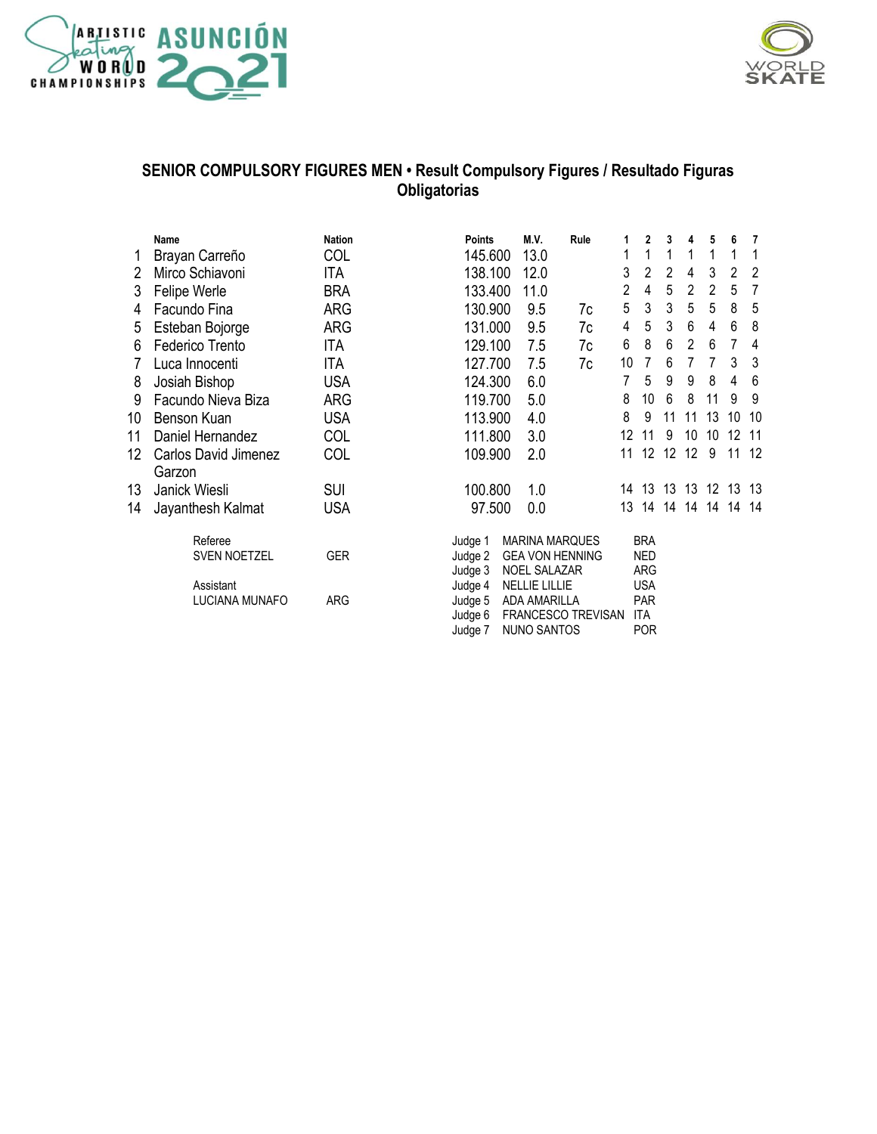



### **SENIOR COMPULSORY FIGURES MEN • Result Compulsory Figures / Resultado Figuras Obligatorias**

|    | Name                 | <b>Nation</b> | <b>Points</b> | M.V.                   | Rule               | 1  | 2              | 3  | 4              | 5  | 6  | 7   |
|----|----------------------|---------------|---------------|------------------------|--------------------|----|----------------|----|----------------|----|----|-----|
|    | Brayan Carreño       | <b>COL</b>    | 145.600       | 13.0                   |                    | 1  | 1              | 1  | 1              | 1  |    |     |
| 2  | Mirco Schiavoni      | ITA           | 138.100       | 12.0                   |                    | 3  | $\overline{2}$ | 2  | 4              | 3  | 2  | 2   |
| 3  | Felipe Werle         | <b>BRA</b>    | 133.400       | 11.0                   |                    | 2  | 4              | 5  | 2              | 2  | 5  | 7   |
| 4  | Facundo Fina         | <b>ARG</b>    | 130.900       | 9.5                    | 7c                 | 5  | 3              | 3  | 5              | 5  | 8  | 5   |
| 5  | Esteban Bojorge      | ARG           | 131.000       | 9.5                    | 7c                 | 4  | 5              | 3  | 6              | 4  | 6  | 8   |
| 6  | Federico Trento      | ITA           | 129.100       | 7.5                    | 7c                 | 6  | 8              | 6  | $\overline{2}$ | 6  | 7  | 4   |
| 7  | Luca Innocenti       | ITA           | 127.700       | 7.5                    | 7c                 | 10 | 7              | 6  | 7              | 7  | 3  | 3   |
| 8  | Josiah Bishop        | <b>USA</b>    | 124.300       | 6.0                    |                    | 7  | 5              | 9  | 9              | 8  | 4  | 6   |
| 9  | Facundo Nieva Biza   | <b>ARG</b>    | 119.700       | 5.0                    |                    | 8  | 10             | 6  | 8              | 11 | 9  | 9   |
| 10 | Benson Kuan          | <b>USA</b>    | 113.900       | 4.0                    |                    | 8  | 9              | 11 | 11             | 13 | 10 | 10  |
| 11 | Daniel Hernandez     | COL           | 111.800       | 3.0                    |                    | 12 | 11             | 9  | 10             | 10 | 12 | 11  |
| 12 | Carlos David Jimenez | COL           | 109.900       | 2.0                    |                    | 11 | 12             | 12 | 12             | 9  | 11 | 12  |
|    | Garzon               |               |               |                        |                    |    |                |    |                |    |    |     |
| 13 | Janick Wiesli        | <b>SUI</b>    | 100.800       | 1.0                    |                    | 14 | 13             | 13 | 13             | 12 | 13 | -13 |
| 14 | Jayanthesh Kalmat    | <b>USA</b>    | 97.500        | 0.0                    |                    | 13 | 14             | 14 | 14             | 14 | 14 | -14 |
|    | Referee              |               | Judge 1       | <b>MARINA MARQUES</b>  |                    |    | <b>BRA</b>     |    |                |    |    |     |
|    | <b>SVEN NOETZEL</b>  | <b>GER</b>    | Judge 2       | <b>GEA VON HENNING</b> |                    |    | <b>NED</b>     |    |                |    |    |     |
|    |                      |               | Judge 3       | <b>NOEL SALAZAR</b>    |                    |    | ARG            |    |                |    |    |     |
|    | Assistant            |               | Judge 4       | <b>NELLIE LILLIE</b>   |                    |    | <b>USA</b>     |    |                |    |    |     |
|    | LUCIANA MUNAFO       | ARG           | Judge 5       | <b>ADA AMARILLA</b>    |                    |    | <b>PAR</b>     |    |                |    |    |     |
|    |                      |               | Judge 6       |                        | FRANCESCO TREVISAN |    | ITA            |    |                |    |    |     |
|    |                      |               | Judge 7       | <b>NUNO SANTOS</b>     |                    |    | <b>POR</b>     |    |                |    |    |     |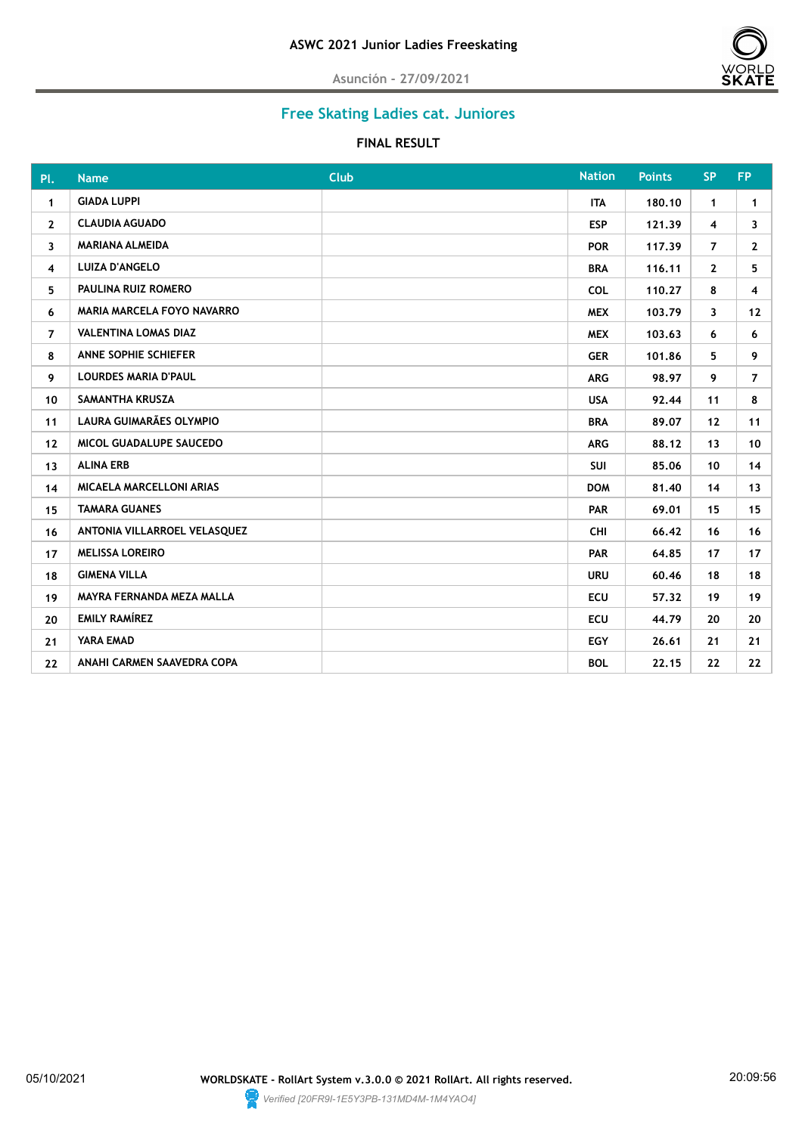

# **Free Skating Ladies cat. Juniores**

#### **FINAL RESULT**

| Pl.            | <b>Name</b>                       | <b>Club</b> | <b>Nation</b> | <b>Points</b> | <b>SP</b>      | <b>FP</b>       |
|----------------|-----------------------------------|-------------|---------------|---------------|----------------|-----------------|
| $\mathbf{1}$   | <b>GIADA LUPPI</b>                |             | <b>ITA</b>    | 180.10        | $\mathbf{1}$   | $\mathbf{1}$    |
| $\mathbf{2}$   | <b>CLAUDIA AGUADO</b>             |             | <b>ESP</b>    | 121.39        | $\overline{4}$ | 3               |
| 3              | <b>MARIANA ALMEIDA</b>            |             | <b>POR</b>    | 117.39        | $\overline{7}$ | $\mathbf{2}$    |
| 4              | <b>LUIZA D'ANGELO</b>             |             | <b>BRA</b>    | 116.11        | $\mathbf{2}$   | 5               |
| 5.             | PAULINA RUIZ ROMERO               |             | <b>COL</b>    | 110.27        | 8              | 4               |
| 6              | <b>MARIA MARCELA FOYO NAVARRO</b> |             | <b>MEX</b>    | 103.79        | $\mathbf{3}$   | 12              |
| $\overline{7}$ | <b>VALENTINA LOMAS DIAZ</b>       |             | <b>MEX</b>    | 103.63        | 6              | 6               |
| 8              | ANNE SOPHIE SCHIEFER              |             | <b>GER</b>    | 101.86        | 5.             | 9               |
| 9              | <b>LOURDES MARIA D'PAUL</b>       |             | <b>ARG</b>    | 98.97         | 9              | $\overline{7}$  |
| 10             | SAMANTHA KRUSZA                   |             | <b>USA</b>    | 92.44         | 11             | 8               |
| 11             | LAURA GUIMARÃES OLYMPIO           |             | <b>BRA</b>    | 89.07         | 12             | 11              |
| 12             | MICOL GUADALUPE SAUCEDO           |             | <b>ARG</b>    | 88.12         | 13             | 10 <sup>°</sup> |
| 13             | <b>ALINA ERB</b>                  |             | <b>SUI</b>    | 85,06         | 10             | 14              |
| 14             | MICAELA MARCELLONI ARIAS          |             | <b>DOM</b>    | 81.40         | 14             | 13              |
| 15             | <b>TAMARA GUANES</b>              |             | <b>PAR</b>    | 69.01         | 15             | 15              |
| 16             | ANTONIA VILLARROEL VELASQUEZ      |             | <b>CHI</b>    | 66.42         | 16             | 16              |
| 17             | <b>MELISSA LOREIRO</b>            |             | <b>PAR</b>    | 64.85         | 17             | 17 <sup>2</sup> |
| 18             | <b>GIMENA VILLA</b>               |             | <b>URU</b>    | 60.46         | 18             | 18              |
| 19             | MAYRA FERNANDA MEZA MALLA         |             | <b>ECU</b>    | 57.32         | 19             | 19              |
| 20             | <b>EMILY RAMÍREZ</b>              |             | <b>ECU</b>    | 44.79         | 20             | 20              |
| 21             | YARA EMAD                         |             | <b>EGY</b>    | 26.61         | 21             | 21              |
| 22             | ANAHI CARMEN SAAVEDRA COPA        |             | <b>BOL</b>    | 22.15         | 22             | 22              |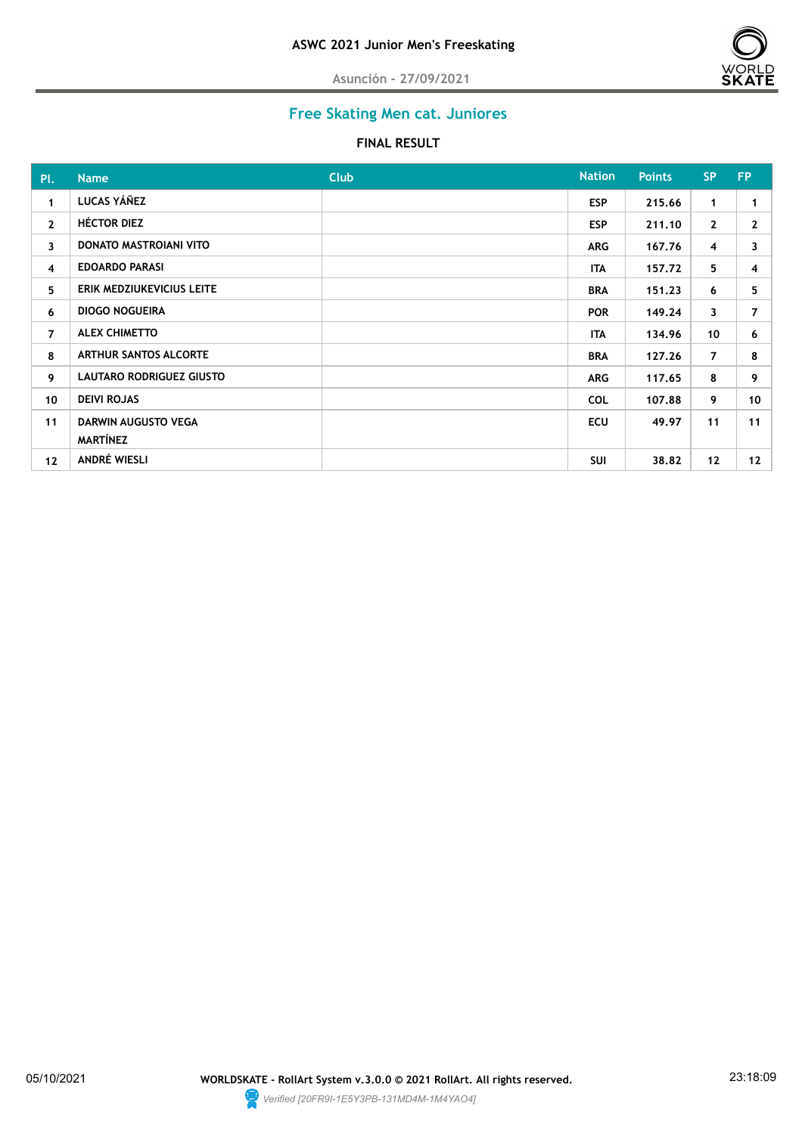

## **Free Skating Men cat. Juniores**

#### **FINAL RESULT**

| PL.            | <b>Name</b>                            | <b>Club</b> | <b>Nation</b> | <b>Points</b> | <b>SP</b>      | <b>FP</b>    |
|----------------|----------------------------------------|-------------|---------------|---------------|----------------|--------------|
| $\mathbf{1}$   | LUCAS YÁÑEZ                            |             | <b>ESP</b>    | 215.66        | $\mathbf{1}$   | 1            |
| $\mathbf{2}$   | <b>HÉCTOR DIEZ</b>                     |             | <b>ESP</b>    | 211.10        | $\mathbf{2}$   | $\mathbf{2}$ |
| 3              | DONATO MASTROIANI VITO                 |             | <b>ARG</b>    | 167.76        | 4              | 3            |
| $\overline{4}$ | <b>EDOARDO PARASI</b>                  |             | <b>ITA</b>    | 157.72        | 5              | 4            |
| 5              | ERIK MEDZIUKEVICIUS LEITE              |             | <b>BRA</b>    | 151.23        | 6              | 5            |
| 6              | <b>DIOGO NOGUEIRA</b>                  |             | <b>POR</b>    | 149.24        | 3              | 7            |
| $\overline{7}$ | <b>ALEX CHIMETTO</b>                   |             | <b>ITA</b>    | 134.96        | 10             | 6            |
| 8              | <b>ARTHUR SANTOS ALCORTE</b>           |             | <b>BRA</b>    | 127.26        | $\overline{7}$ | 8            |
| 9              | LAUTARO RODRIGUEZ GIUSTO               |             | <b>ARG</b>    | 117.65        | 8              | 9            |
| 10             | <b>DEIVI ROJAS</b>                     |             | <b>COL</b>    | 107.88        | 9              | 10           |
| 11             | DARWIN AUGUSTO VEGA<br><b>MARTÍNEZ</b> |             | <b>ECU</b>    | 49.97         | 11             | 11           |
| 12             | ANDRÉ WIESLI                           |             | <b>SUI</b>    | 38.82         | 12             | 12           |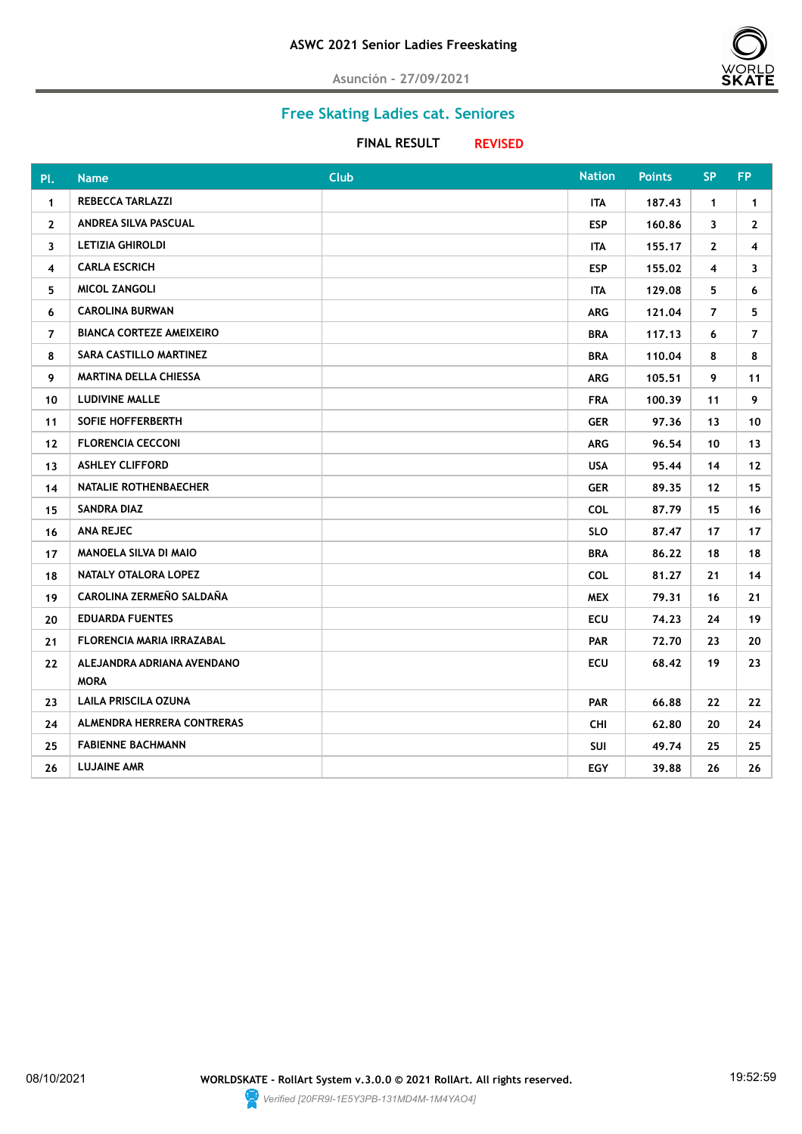

## **Free Skating Ladies cat. Seniores**

**FINAL RESULT REVISED** 

| PI.                     | <b>Name</b>                               | <b>Club</b> | <b>Nation</b> | <b>Points</b> | <b>SP</b>      | <b>FP</b>      |
|-------------------------|-------------------------------------------|-------------|---------------|---------------|----------------|----------------|
| $\mathbf{1}$            | <b>REBECCA TARLAZZI</b>                   |             | <b>ITA</b>    | 187.43        | $\mathbf{1}$   | 1              |
| $\mathbf{2}$            | ANDREA SILVA PASCUAL                      |             | <b>ESP</b>    | 160.86        | 3              | $\mathbf{2}$   |
| 3                       | <b>LETIZIA GHIROLDI</b>                   |             | ITA           | 155.17        | $\mathbf{2}$   | 4              |
| $\overline{\mathbf{4}}$ | <b>CARLA ESCRICH</b>                      |             | <b>ESP</b>    | 155.02        | $\overline{4}$ | 3              |
| 5.                      | <b>MICOL ZANGOLI</b>                      |             | ITA           | 129.08        | 5              | 6              |
| 6                       | <b>CAROLINA BURWAN</b>                    |             | <b>ARG</b>    | 121.04        | $\overline{7}$ | 5              |
| $\overline{7}$          | <b>BIANCA CORTEZE AMEIXEIRO</b>           |             | <b>BRA</b>    | 117.13        | 6              | $\overline{7}$ |
| 8                       | SARA CASTILLO MARTINEZ                    |             | <b>BRA</b>    | 110.04        | 8              | 8              |
| 9                       | <b>MARTINA DELLA CHIESSA</b>              |             | <b>ARG</b>    | 105.51        | 9              | 11             |
| 10                      | <b>LUDIVINE MALLE</b>                     |             | <b>FRA</b>    | 100.39        | 11             | 9              |
| 11                      | SOFIE HOFFERBERTH                         |             | <b>GER</b>    | 97.36         | 13             | 10             |
| 12                      | <b>FLORENCIA CECCONI</b>                  |             | <b>ARG</b>    | 96.54         | 10             | 13             |
| 13                      | <b>ASHLEY CLIFFORD</b>                    |             | <b>USA</b>    | 95.44         | 14             | $12 \,$        |
| 14                      | NATALIE ROTHENBAECHER                     |             | <b>GER</b>    | 89.35         | 12             | 15             |
| 15                      | <b>SANDRA DIAZ</b>                        |             | <b>COL</b>    | 87.79         | 15             | 16             |
| 16                      | <b>ANA REJEC</b>                          |             | <b>SLO</b>    | 87.47         | 17             | 17             |
| 17                      | <b>MANOELA SILVA DI MAIO</b>              |             | <b>BRA</b>    | 86.22         | 18             | 18             |
| 18                      | NATALY OTALORA LOPEZ                      |             | <b>COL</b>    | 81.27         | 21             | 14             |
| 19                      | CAROLINA ZERMEÑO SALDAÑA                  |             | <b>MEX</b>    | 79.31         | 16             | 21             |
| 20                      | <b>EDUARDA FUENTES</b>                    |             | <b>ECU</b>    | 74.23         | 24             | 19             |
| 21                      | <b>FLORENCIA MARIA IRRAZABAL</b>          |             | <b>PAR</b>    | 72.70         | 23             | 20             |
| 22                      | ALEJANDRA ADRIANA AVENDANO<br><b>MORA</b> |             | <b>ECU</b>    | 68.42         | 19             | 23             |
| 23                      | LAILA PRISCILA OZUNA                      |             | <b>PAR</b>    | 66.88         | 22             | 22             |
| 24                      | <b>ALMENDRA HERRERA CONTRERAS</b>         |             | CHI           | 62.80         | 20             | 24             |
| 25                      | <b>FABIENNE BACHMANN</b>                  |             | SUI           | 49.74         | 25             | 25             |
| 26                      | <b>LUJAINE AMR</b>                        |             | <b>EGY</b>    | 39.88         | 26             | 26             |